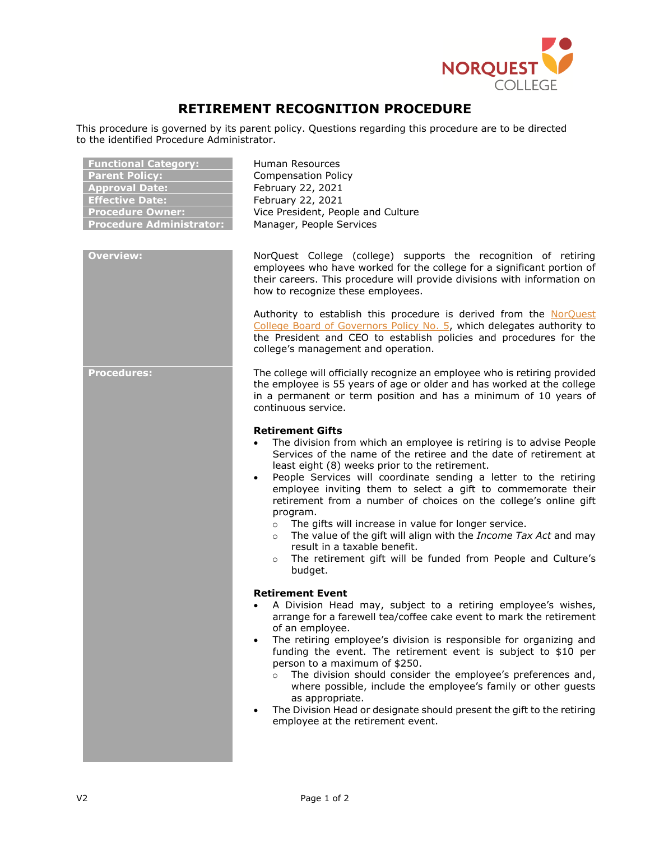

## **RETIREMENT RECOGNITION PROCEDURE**

This procedure is governed by its parent policy. Questions regarding this procedure are to be directed to the identified Procedure Administrator.

| Human Resources<br><b>Compensation Policy</b><br>February 22, 2021<br>February 22, 2021<br>Vice President, People and Culture<br>Manager, People Services                                                                                                                                                                                                                                                                                                                                                                                                                                                                                                                                                                                   |
|---------------------------------------------------------------------------------------------------------------------------------------------------------------------------------------------------------------------------------------------------------------------------------------------------------------------------------------------------------------------------------------------------------------------------------------------------------------------------------------------------------------------------------------------------------------------------------------------------------------------------------------------------------------------------------------------------------------------------------------------|
| NorQuest College (college) supports the recognition of retiring<br>employees who have worked for the college for a significant portion of<br>their careers. This procedure will provide divisions with information on<br>how to recognize these employees.<br>Authority to establish this procedure is derived from the NorQuest<br>College Board of Governors Policy No. 5, which delegates authority to<br>the President and CEO to establish policies and procedures for the<br>college's management and operation.                                                                                                                                                                                                                      |
| The college will officially recognize an employee who is retiring provided<br>the employee is 55 years of age or older and has worked at the college<br>in a permanent or term position and has a minimum of 10 years of<br>continuous service.                                                                                                                                                                                                                                                                                                                                                                                                                                                                                             |
| <b>Retirement Gifts</b><br>The division from which an employee is retiring is to advise People<br>$\bullet$<br>Services of the name of the retiree and the date of retirement at<br>least eight (8) weeks prior to the retirement.<br>People Services will coordinate sending a letter to the retiring<br>$\bullet$<br>employee inviting them to select a gift to commemorate their<br>retirement from a number of choices on the college's online gift<br>program.<br>The gifts will increase in value for longer service.<br>$\circ$<br>The value of the gift will align with the Income Tax Act and may<br>$\circ$<br>result in a taxable benefit.<br>The retirement gift will be funded from People and Culture's<br>$\circ$<br>budget. |
| <b>Retirement Event</b><br>A Division Head may, subject to a retiring employee's wishes,<br>arrange for a farewell tea/coffee cake event to mark the retirement<br>of an employee.<br>The retiring employee's division is responsible for organizing and<br>funding the event. The retirement event is subject to \$10 per<br>person to a maximum of \$250.<br>The division should consider the employee's preferences and,<br>$\circ$<br>where possible, include the employee's family or other guests<br>as appropriate.<br>The Division Head or designate should present the gift to the retiring<br>employee at the retirement event.                                                                                                   |
|                                                                                                                                                                                                                                                                                                                                                                                                                                                                                                                                                                                                                                                                                                                                             |